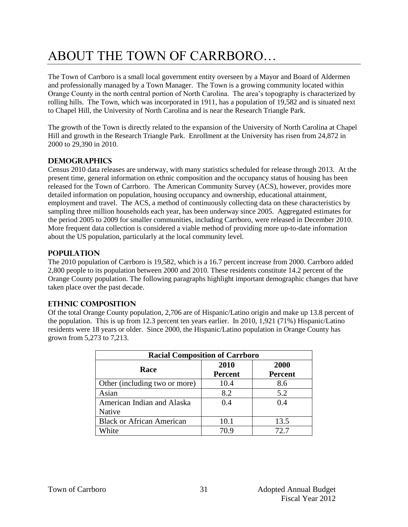# ABOUT THE TOWN OF CARRBORO…

The Town of Carrboro is a small local government entity overseen by a Mayor and Board of Aldermen and professionally managed by a Town Manager. The Town is a growing community located within Orange County in the north central portion of North Carolina. The area's topography is characterized by rolling hills. The Town, which was incorporated in 1911, has a population of 19,582 and is situated next to Chapel Hill, the University of North Carolina and is near the Research Triangle Park.

The growth of the Town is directly related to the expansion of the University of North Carolina at Chapel Hill and growth in the Research Triangle Park. Enrollment at the University has risen from 24,872 in 2000 to 29,390 in 2010.

## **Demographics**

Census 2010 data releases are underway, with many statistics scheduled for release through 2013. At the present time, general information on ethnic composition and the occupancy status of housing has been released for the Town of Carrboro. The American Community Survey (ACS), however, provides more detailed information on population, housing occupancy and ownership, educational attainment, employment and travel. The ACS, a method of continuously collecting data on these characteristics by sampling three million households each year, has been underway since 2005. Aggregated estimates for the period 2005 to 2009 for smaller communities, including Carrboro, were released in December 2010. More frequent data collection is considered a viable method of providing more up-to-date information about the US population, particularly at the local community level.

## **Population**

The 2010 population of Carrboro is 19,582, which is a 16.7 percent increase from 2000. Carrboro added 2,800 people to its population between 2000 and 2010. These residents constitute 14.2 percent of the Orange County population. The following paragraphs highlight important demographic changes that have taken place over the past decade.

## **Ethnic Composition**

Of the total Orange County population, 2,706 are of Hispanic/Latino origin and make up 13.8 percent of the population. This is up from 12.3 percent ten years earlier. In 2010, 1,921 (71%) Hispanic/Latino residents were 18 years or older. Since 2000, the Hispanic/Latino population in Orange County has grown from 5,273 to 7,213.

| <b>Racial Composition of Carrboro</b> |                |                |  |
|---------------------------------------|----------------|----------------|--|
| Race                                  | 2010           | 2000           |  |
|                                       | <b>Percent</b> | <b>Percent</b> |  |
| Other (including two or more)         | 10.4           | 8.6            |  |
| Asian                                 | 8.2            | 5.2            |  |
| American Indian and Alaska            | 0.4            | 04             |  |
| Native                                |                |                |  |
| <b>Black or African American</b>      | 10.1           | 13.5           |  |
| White                                 | 70 9           | 72. 7          |  |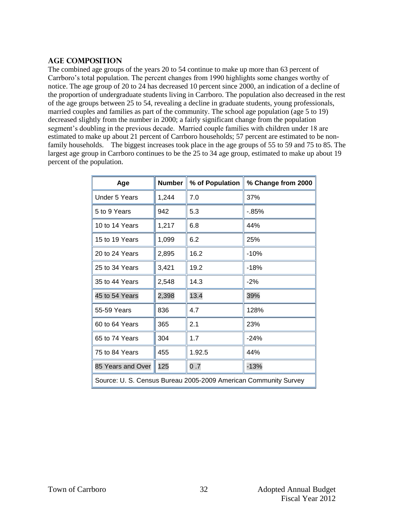#### **Age Composition**

The combined age groups of the years 20 to 54 continue to make up more than 63 percent of Carrboro's total population. The percent changes from 1990 highlights some changes worthy of notice. The age group of 20 to 24 has decreased 10 percent since 2000, an indication of a decline of the proportion of undergraduate students living in Carrboro. The population also decreased in the rest of the age groups between 25 to 54, revealing a decline in graduate students, young professionals, married couples and families as part of the community. The school age population (age 5 to 19) decreased slightly from the number in 2000; a fairly significant change from the population segment's doubling in the previous decade. Married couple families with children under 18 are estimated to make up about 21 percent of Carrboro households; 57 percent are estimated to be nonfamily households. The biggest increases took place in the age groups of 55 to 59 and 75 to 85. The largest age group in Carrboro continues to be the 25 to 34 age group, estimated to make up about 19 percent of the population.

| Age                                                             | <b>Number</b> | % of Population | % Change from 2000 |  |
|-----------------------------------------------------------------|---------------|-----------------|--------------------|--|
| Under 5 Years                                                   | 1,244         | 7.0             | 37%                |  |
| 5 to 9 Years                                                    | 942           | 5.3             | $-0.85%$           |  |
| 10 to 14 Years                                                  | 1,217         | 6.8             | 44%                |  |
| 15 to 19 Years                                                  | 1,099         | 6.2             | 25%                |  |
| 20 to 24 Years                                                  | 2,895         | 16.2            | $-10%$             |  |
| 25 to 34 Years                                                  | 3,421         | 19.2            | $-18%$             |  |
| 35 to 44 Years                                                  | 2,548         | 14.3            | $-2%$              |  |
| 45 to 54 Years                                                  | 2,398         | 13.4            | 39%                |  |
| 55-59 Years                                                     | 836           | 4.7             | 128%               |  |
| 60 to 64 Years                                                  | 365           | 2.1             | 23%                |  |
| 65 to 74 Years                                                  | 304           | 1.7             | $-24%$             |  |
| 75 to 84 Years                                                  | 455           | 1.92.5          | 44%                |  |
| 85 Years and Over                                               | 125           | 0.7             | $-13%$             |  |
| Source: U. S. Census Bureau 2005-2009 American Community Survey |               |                 |                    |  |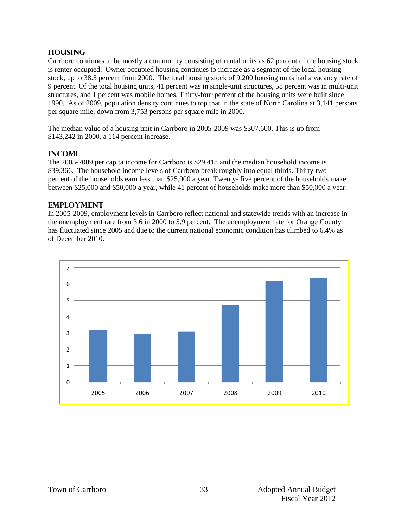#### **Housing**

Carrboro continues to be mostly a community consisting of rental units as 62 percent of the housing stock is renter occupied. Owner occupied housing continues to increase as a segment of the local housing stock, up to 38.5 percent from 2000. The total housing stock of 9,200 housing units had a vacancy rate of 9 percent. Of the total housing units, 41 percent was in single-unit structures, 58 percent was in multi-unit structures, and 1 percent was mobile homes. Thirty-four percent of the housing units were built since 1990. As of 2009, population density continues to top that in the state of North Carolina at 3,141 persons per square mile, down from 3,753 persons per square mile in 2000.

The median value of a housing unit in Carrboro in 2005-2009 was \$307,600. This is up from \$143,242 in 2000, a 114 percent increase.

#### **Income**

The 2005-2009 per capita income for Carrboro is \$29,418 and the median household income is \$39,366. The household income levels of Carrboro break roughly into equal thirds. Thirty-two percent of the households earn less than \$25,000 a year. Twenty- five percent of the households make between \$25,000 and \$50,000 a year, while 41 percent of households make more than \$50,000 a year.

#### **Employment**

In 2005-2009, employment levels in Carrboro reflect national and statewide trends with an increase in the unemployment rate from 3.6 in 2000 to 5.9 percent. The unemployment rate for Orange County has fluctuated since 2005 and due to the current national economic condition has climbed to 6.4% as of December 2010.

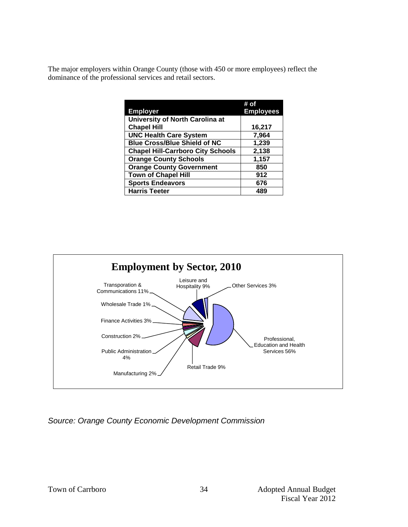The major employers within Orange County (those with 450 or more employees) reflect the dominance of the professional services and retail sectors.

|                                          | # of             |
|------------------------------------------|------------------|
| <b>Employer</b>                          | <b>Employees</b> |
| University of North Carolina at          |                  |
| <b>Chapel Hill</b>                       | 16,217           |
| <b>UNC Health Care System</b>            | 7,964            |
| <b>Blue Cross/Blue Shield of NC</b>      | 1,239            |
| <b>Chapel Hill-Carrboro City Schools</b> | 2,138            |
| <b>Orange County Schools</b>             | 1,157            |
| <b>Orange County Government</b>          | 850              |
| <b>Town of Chapel Hill</b>               | 912              |
| <b>Sports Endeavors</b>                  | 676              |
| <b>Harris Teeter</b>                     | 489              |



*Source: Orange County Economic Development Commission*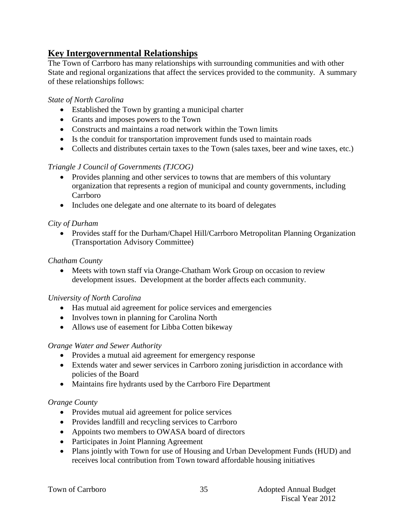# **Key Intergovernmental Relationships**

The Town of Carrboro has many relationships with surrounding communities and with other State and regional organizations that affect the services provided to the community. A summary of these relationships follows:

# *State of North Carolina*

- Established the Town by granting a municipal charter
- Grants and imposes powers to the Town
- Constructs and maintains a road network within the Town limits
- Is the conduit for transportation improvement funds used to maintain roads
- Collects and distributes certain taxes to the Town (sales taxes, beer and wine taxes, etc.)

# *Triangle J Council of Governments (TJCOG)*

- Provides planning and other services to towns that are members of this voluntary organization that represents a region of municipal and county governments, including Carrboro
- Includes one delegate and one alternate to its board of delegates

# *City of Durham*

• Provides staff for the Durham/Chapel Hill/Carrboro Metropolitan Planning Organization (Transportation Advisory Committee)

# *Chatham County*

 Meets with town staff via Orange-Chatham Work Group on occasion to review development issues. Development at the border affects each community.

## *University of North Carolina*

- Has mutual aid agreement for police services and emergencies
- Involves town in planning for Carolina North
- Allows use of easement for Libba Cotten bikeway

## *Orange Water and Sewer Authority*

- Provides a mutual aid agreement for emergency response
- Extends water and sewer services in Carrboro zoning jurisdiction in accordance with policies of the Board
- Maintains fire hydrants used by the Carrboro Fire Department

## *Orange County*

- Provides mutual aid agreement for police services
- Provides landfill and recycling services to Carrboro
- Appoints two members to OWASA board of directors
- Participates in Joint Planning Agreement
- Plans jointly with Town for use of Housing and Urban Development Funds (HUD) and receives local contribution from Town toward affordable housing initiatives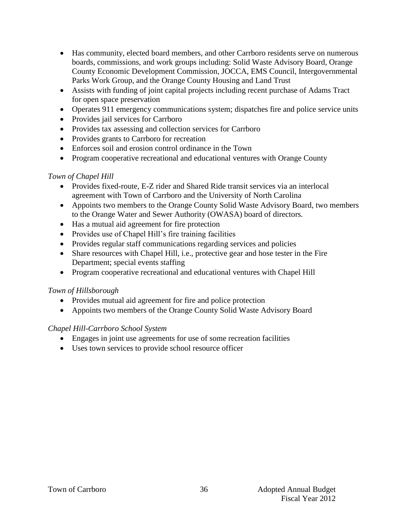- Has community, elected board members, and other Carrboro residents serve on numerous boards, commissions, and work groups including: Solid Waste Advisory Board, Orange County Economic Development Commission, JOCCA, EMS Council, Intergovernmental Parks Work Group, and the Orange County Housing and Land Trust
- Assists with funding of joint capital projects including recent purchase of Adams Tract for open space preservation
- Operates 911 emergency communications system; dispatches fire and police service units
- Provides jail services for Carrboro
- Provides tax assessing and collection services for Carrboro
- Provides grants to Carrboro for recreation
- Enforces soil and erosion control ordinance in the Town
- Program cooperative recreational and educational ventures with Orange County

## *Town of Chapel Hill*

- Provides fixed-route, E-Z rider and Shared Ride transit services via an interlocal agreement with Town of Carrboro and the University of North Carolina
- Appoints two members to the Orange County Solid Waste Advisory Board, two members to the Orange Water and Sewer Authority (OWASA) board of directors.
- Has a mutual aid agreement for fire protection
- Provides use of Chapel Hill's fire training facilities
- Provides regular staff communications regarding services and policies
- Share resources with Chapel Hill, i.e., protective gear and hose tester in the Fire Department; special events staffing
- Program cooperative recreational and educational ventures with Chapel Hill

## *Town of Hillsborough*

- Provides mutual aid agreement for fire and police protection
- Appoints two members of the Orange County Solid Waste Advisory Board

## *Chapel Hill-Carrboro School System*

- Engages in joint use agreements for use of some recreation facilities
- Uses town services to provide school resource officer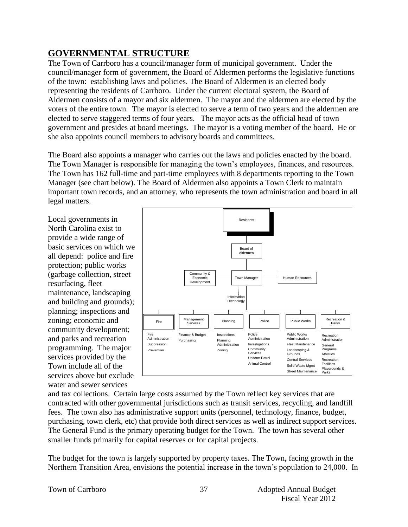# **GOVERNMENTAL STRUCTURE**

The Town of Carrboro has a council/manager form of municipal government. Under the council/manager form of government, the Board of Aldermen performs the legislative functions of the town: establishing laws and policies. The Board of Aldermen is an elected body representing the residents of Carrboro. Under the current electoral system, the Board of Aldermen consists of a mayor and six aldermen. The mayor and the aldermen are elected by the voters of the entire town. The mayor is elected to serve a term of two years and the aldermen are elected to serve staggered terms of four years. The mayor acts as the official head of town government and presides at board meetings. The mayor is a voting member of the board. He or she also appoints council members to advisory boards and committees.

The Board also appoints a manager who carries out the laws and policies enacted by the board. The Town Manager is responsible for managing the town's employees, finances, and resources. The Town has 162 full-time and part-time employees with 8 departments reporting to the Town Manager (see chart below). The Board of Aldermen also appoints a Town Clerk to maintain important town records, and an attorney, who represents the town administration and board in all legal matters.

Local governments in North Carolina exist to provide a wide range of basic services on which we all depend: police and fire protection; public works (garbage collection, street resurfacing, fleet maintenance, landscaping and building and grounds); planning; inspections and zoning; economic and community development; and parks and recreation programming. The major services provided by the Town include all of the services above but exclude water and sewer services



and tax collections. Certain large costs assumed by the Town reflect key services that are contracted with other governmental jurisdictions such as transit services, recycling, and landfill fees. The town also has administrative support units (personnel, technology, finance, budget, purchasing, town clerk, etc) that provide both direct services as well as indirect support services. The General Fund is the primary operating budget for the Town. The town has several other smaller funds primarily for capital reserves or for capital projects.

The budget for the town is largely supported by property taxes. The Town, facing growth in the Northern Transition Area, envisions the potential increase in the town's population to 24,000. In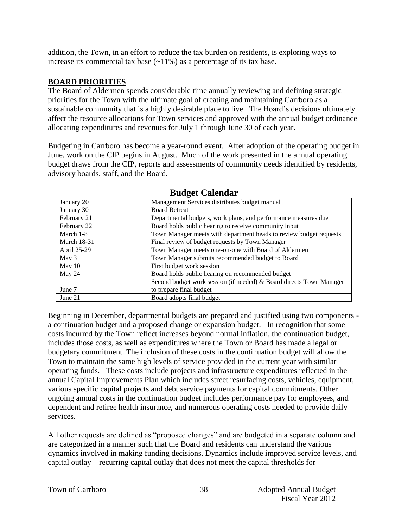addition, the Town, in an effort to reduce the tax burden on residents, is exploring ways to increase its commercial tax base  $(\sim 11\%)$  as a percentage of its tax base.

# **BOARD PRIORITIES**

The Board of Aldermen spends considerable time annually reviewing and defining strategic priorities for the Town with the ultimate goal of creating and maintaining Carrboro as a sustainable community that is a highly desirable place to live. The Board's decisions ultimately affect the resource allocations for Town services and approved with the annual budget ordinance allocating expenditures and revenues for July 1 through June 30 of each year.

Budgeting in Carrboro has become a year-round event. After adoption of the operating budget in June, work on the CIP begins in August. Much of the work presented in the annual operating budget draws from the CIP, reports and assessments of community needs identified by residents, advisory boards, staff, and the Board.

| January 20         | Management Services distributes budget manual                       |  |
|--------------------|---------------------------------------------------------------------|--|
| January 30         | <b>Board Retreat</b>                                                |  |
| February 21        | Departmental budgets, work plans, and performance measures due      |  |
| February 22        | Board holds public hearing to receive community input               |  |
| March 1-8          | Town Manager meets with department heads to review budget requests  |  |
| <b>March 18-31</b> | Final review of budget requests by Town Manager                     |  |
| April 25-29        | Town Manager meets one-on-one with Board of Aldermen                |  |
| May 3              | Town Manager submits recommended budget to Board                    |  |
| May $10$           | First budget work session                                           |  |
| May 24             | Board holds public hearing on recommended budget                    |  |
|                    | Second budget work session (if needed) & Board directs Town Manager |  |
| June 7             | to prepare final budget                                             |  |
| June 21            | Board adopts final budget                                           |  |

**Budget Calendar**

Beginning in December, departmental budgets are prepared and justified using two components a continuation budget and a proposed change or expansion budget. In recognition that some costs incurred by the Town reflect increases beyond normal inflation, the continuation budget, includes those costs, as well as expenditures where the Town or Board has made a legal or budgetary commitment. The inclusion of these costs in the continuation budget will allow the Town to maintain the same high levels of service provided in the current year with similar operating funds. These costs include projects and infrastructure expenditures reflected in the annual Capital Improvements Plan which includes street resurfacing costs, vehicles, equipment, various specific capital projects and debt service payments for capital commitments. Other ongoing annual costs in the continuation budget includes performance pay for employees, and dependent and retiree health insurance, and numerous operating costs needed to provide daily services.

All other requests are defined as "proposed changes" and are budgeted in a separate column and are categorized in a manner such that the Board and residents can understand the various dynamics involved in making funding decisions. Dynamics include improved service levels, and capital outlay – recurring capital outlay that does not meet the capital thresholds for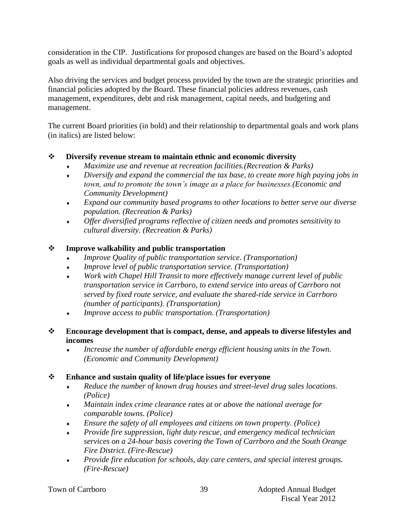consideration in the CIP. Justifications for proposed changes are based on the Board's adopted goals as well as individual departmental goals and objectives.

Also driving the services and budget process provided by the town are the strategic priorities and financial policies adopted by the Board. These financial policies address revenues, cash management, expenditures, debt and risk management, capital needs, and budgeting and management.

The current Board priorities (in bold) and their relationship to departmental goals and work plans (in italics) are listed below:

# **Diversify revenue stream to maintain ethnic and economic diversity**

- *Maximize use and revenue at recreation facilities.(Recreation & Parks)*
- *Diversify and expand the commercial the tax base, to create more high paying jobs in town, and to promote the town's image as a place for businesses.(Economic and Community Development)*
- *Expand our community based programs to other locations to better serve our diverse population. (Recreation & Parks)*
- *Offer diversified programs reflective of citizen needs and promotes sensitivity to cultural diversity. (Recreation & Parks)*

# **Improve walkability and public transportation**

- *Improve Quality of public transportation service. (Transportation)*
- *Improve level of public transportation service. (Transportation)*
- *Work with Chapel Hill Transit to more effectively manage current level of public transportation service in Carrboro, to extend service into areas of Carrboro not served by fixed route service, and evaluate the shared-ride service in Carrboro (number of participants). (Transportation)*
- *Improve access to public transportation. (Transportation)*

# **Encourage development that is compact, dense, and appeals to diverse lifestyles and incomes**

 *Increase the number of affordable energy efficient housing units in the Town. (Economic and Community Development)*

# **Enhance and sustain quality of life/place issues for everyone**

- *Reduce the number of known drug houses and street-level drug sales locations. (Police)*
- *Maintain index crime clearance rates at or above the national average for comparable towns. (Police)*
- *Ensure the safety of all employees and citizens on town property. (Police)*
- *Provide fire suppression, light duty rescue, and emergency medical technician services on a 24-hour basis covering the Town of Carrboro and the South Orange Fire District. (Fire-Rescue)*
- *Provide fire education for schools, day care centers, and special interest groups. (Fire-Rescue)*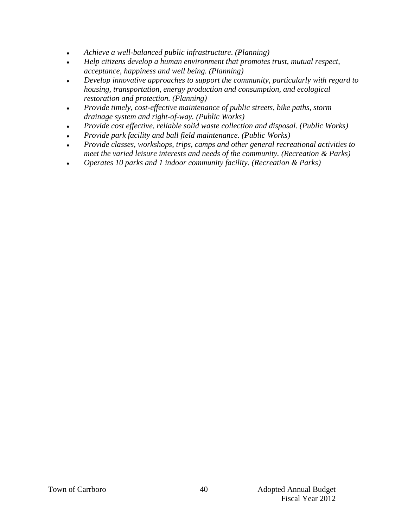- *Achieve a well-balanced public infrastructure*. *(Planning)*
- *Help citizens develop a human environment that promotes trust, mutual respect, acceptance, happiness and well being. (Planning)*
- *Develop innovative approaches to support the community, particularly with regard to housing, transportation, energy production and consumption, and ecological restoration and protection. (Planning)*
- *Provide timely, cost-effective maintenance of public streets, bike paths, storm drainage system and right-of-way. (Public Works)*
- *Provide cost effective, reliable solid waste collection and disposal. (Public Works)*
- *Provide park facility and ball field maintenance. (Public Works)*
- *Provide classes, workshops, trips, camps and other general recreational activities to meet the varied leisure interests and needs of the community. (Recreation & Parks)*
- *Operates 10 parks and 1 indoor community facility. (Recreation & Parks)*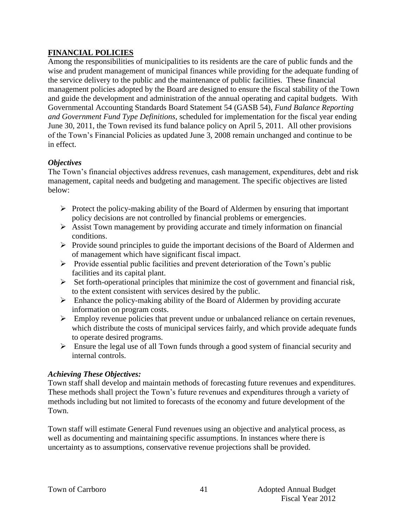# **FINANCIAL POLICIES**

Among the responsibilities of municipalities to its residents are the care of public funds and the wise and prudent management of municipal finances while providing for the adequate funding of the service delivery to the public and the maintenance of public facilities. These financial management policies adopted by the Board are designed to ensure the fiscal stability of the Town and guide the development and administration of the annual operating and capital budgets. With Governmental Accounting Standards Board Statement 54 (GASB 54), *Fund Balance Reporting and Government Fund Type Definitions*, scheduled for implementation for the fiscal year ending June 30, 2011, the Town revised its fund balance policy on April 5, 2011. All other provisions of the Town's Financial Policies as updated June 3, 2008 remain unchanged and continue to be in effect.

# *Objectives*

The Town's financial objectives address revenues, cash management, expenditures, debt and risk management, capital needs and budgeting and management. The specific objectives are listed below:

- $\triangleright$  Protect the policy-making ability of the Board of Aldermen by ensuring that important policy decisions are not controlled by financial problems or emergencies.
- $\triangleright$  Assist Town management by providing accurate and timely information on financial conditions.
- $\triangleright$  Provide sound principles to guide the important decisions of the Board of Aldermen and of management which have significant fiscal impact.
- $\triangleright$  Provide essential public facilities and prevent deterioration of the Town's public facilities and its capital plant.
- $\triangleright$  Set forth-operational principles that minimize the cost of government and financial risk, to the extent consistent with services desired by the public.
- $\triangleright$  Enhance the policy-making ability of the Board of Aldermen by providing accurate information on program costs.
- $\triangleright$  Employ revenue policies that prevent undue or unbalanced reliance on certain revenues, which distribute the costs of municipal services fairly, and which provide adequate funds to operate desired programs.
- $\triangleright$  Ensure the legal use of all Town funds through a good system of financial security and internal controls.

## *Achieving These Objectives:*

Town staff shall develop and maintain methods of forecasting future revenues and expenditures. These methods shall project the Town's future revenues and expenditures through a variety of methods including but not limited to forecasts of the economy and future development of the Town.

Town staff will estimate General Fund revenues using an objective and analytical process, as well as documenting and maintaining specific assumptions. In instances where there is uncertainty as to assumptions, conservative revenue projections shall be provided.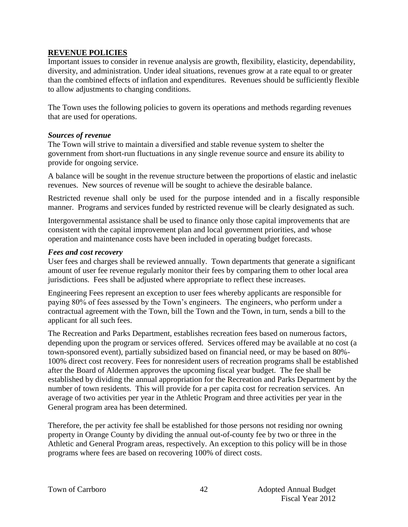#### **REVENUE POLICIES**

Important issues to consider in revenue analysis are growth, flexibility, elasticity, dependability, diversity, and administration. Under ideal situations, revenues grow at a rate equal to or greater than the combined effects of inflation and expenditures. Revenues should be sufficiently flexible to allow adjustments to changing conditions.

The Town uses the following policies to govern its operations and methods regarding revenues that are used for operations.

#### *Sources of revenue*

The Town will strive to maintain a diversified and stable revenue system to shelter the government from short-run fluctuations in any single revenue source and ensure its ability to provide for ongoing service.

A balance will be sought in the revenue structure between the proportions of elastic and inelastic revenues. New sources of revenue will be sought to achieve the desirable balance.

Restricted revenue shall only be used for the purpose intended and in a fiscally responsible manner. Programs and services funded by restricted revenue will be clearly designated as such.

Intergovernmental assistance shall be used to finance only those capital improvements that are consistent with the capital improvement plan and local government priorities, and whose operation and maintenance costs have been included in operating budget forecasts.

#### *Fees and cost recovery*

User fees and charges shall be reviewed annually. Town departments that generate a significant amount of user fee revenue regularly monitor their fees by comparing them to other local area jurisdictions. Fees shall be adjusted where appropriate to reflect these increases.

Engineering Fees represent an exception to user fees whereby applicants are responsible for paying 80% of fees assessed by the Town's engineers. The engineers, who perform under a contractual agreement with the Town, bill the Town and the Town, in turn, sends a bill to the applicant for all such fees.

The Recreation and Parks Department, establishes recreation fees based on numerous factors, depending upon the program or services offered. Services offered may be available at no cost (a town-sponsored event), partially subsidized based on financial need, or may be based on 80%- 100% direct cost recovery. Fees for nonresident users of recreation programs shall be established after the Board of Aldermen approves the upcoming fiscal year budget. The fee shall be established by dividing the annual appropriation for the Recreation and Parks Department by the number of town residents. This will provide for a per capita cost for recreation services. An average of two activities per year in the Athletic Program and three activities per year in the General program area has been determined.

Therefore, the per activity fee shall be established for those persons not residing nor owning property in Orange County by dividing the annual out-of-county fee by two or three in the Athletic and General Program areas, respectively. An exception to this policy will be in those programs where fees are based on recovering 100% of direct costs.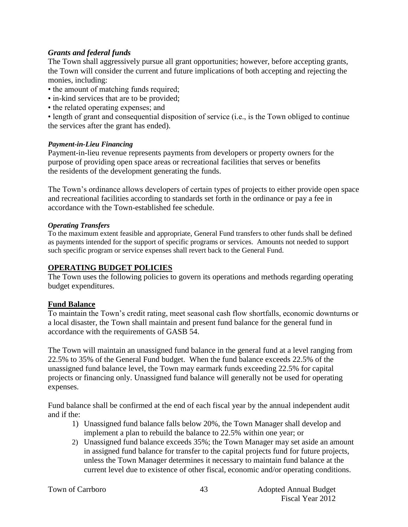#### *Grants and federal funds*

The Town shall aggressively pursue all grant opportunities; however, before accepting grants, the Town will consider the current and future implications of both accepting and rejecting the monies, including:

- the amount of matching funds required;
- in-kind services that are to be provided;
- the related operating expenses; and

• length of grant and consequential disposition of service (i.e., is the Town obliged to continue the services after the grant has ended).

#### *Payment-in-Lieu Financing*

Payment-in-lieu revenue represents payments from developers or property owners for the purpose of providing open space areas or recreational facilities that serves or benefits the residents of the development generating the funds.

The Town's ordinance allows developers of certain types of projects to either provide open space and recreational facilities according to standards set forth in the ordinance or pay a fee in accordance with the Town-established fee schedule.

#### *Operating Transfers*

To the maximum extent feasible and appropriate, General Fund transfers to other funds shall be defined as payments intended for the support of specific programs or services. Amounts not needed to support such specific program or service expenses shall revert back to the General Fund.

#### **OPERATING BUDGET POLICIES**

The Town uses the following policies to govern its operations and methods regarding operating budget expenditures.

#### **Fund Balance**

To maintain the Town's credit rating, meet seasonal cash flow shortfalls, economic downturns or a local disaster, the Town shall maintain and present fund balance for the general fund in accordance with the requirements of GASB 54.

The Town will maintain an unassigned fund balance in the general fund at a level ranging from 22.5% to 35% of the General Fund budget. When the fund balance exceeds 22.5% of the unassigned fund balance level, the Town may earmark funds exceeding 22.5% for capital projects or financing only. Unassigned fund balance will generally not be used for operating expenses.

Fund balance shall be confirmed at the end of each fiscal year by the annual independent audit and if the:

- 1) Unassigned fund balance falls below 20%, the Town Manager shall develop and implement a plan to rebuild the balance to 22.5% within one year; or
- 2) Unassigned fund balance exceeds 35%; the Town Manager may set aside an amount in assigned fund balance for transfer to the capital projects fund for future projects, unless the Town Manager determines it necessary to maintain fund balance at the current level due to existence of other fiscal, economic and/or operating conditions.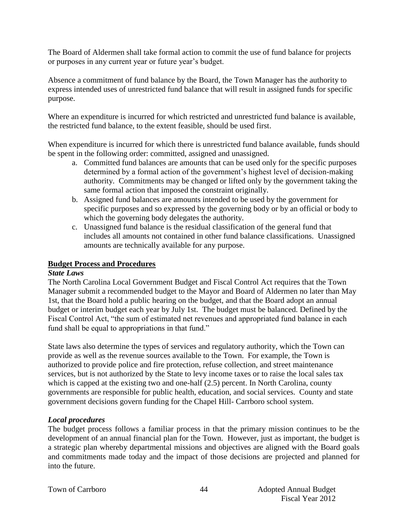The Board of Aldermen shall take formal action to commit the use of fund balance for projects or purposes in any current year or future year's budget.

Absence a commitment of fund balance by the Board, the Town Manager has the authority to express intended uses of unrestricted fund balance that will result in assigned funds for specific purpose.

Where an expenditure is incurred for which restricted and unrestricted fund balance is available, the restricted fund balance, to the extent feasible, should be used first.

When expenditure is incurred for which there is unrestricted fund balance available, funds should be spent in the following order: committed, assigned and unassigned.

- a. Committed fund balances are amounts that can be used only for the specific purposes determined by a formal action of the government's highest level of decision-making authority. Commitments may be changed or lifted only by the government taking the same formal action that imposed the constraint originally.
- b. Assigned fund balances are amounts intended to be used by the government for specific purposes and so expressed by the governing body or by an official or body to which the governing body delegates the authority.
- c. Unassigned fund balance is the residual classification of the general fund that includes all amounts not contained in other fund balance classifications. Unassigned amounts are technically available for any purpose.

## **Budget Process and Procedures**

## *State Laws*

The North Carolina Local Government Budget and Fiscal Control Act requires that the Town Manager submit a recommended budget to the Mayor and Board of Aldermen no later than May 1st, that the Board hold a public hearing on the budget, and that the Board adopt an annual budget or interim budget each year by July 1st. The budget must be balanced. Defined by the Fiscal Control Act, "the sum of estimated net revenues and appropriated fund balance in each fund shall be equal to appropriations in that fund."

State laws also determine the types of services and regulatory authority, which the Town can provide as well as the revenue sources available to the Town. For example, the Town is authorized to provide police and fire protection, refuse collection, and street maintenance services, but is not authorized by the State to levy income taxes or to raise the local sales tax which is capped at the existing two and one-half  $(2.5)$  percent. In North Carolina, county governments are responsible for public health, education, and social services. County and state government decisions govern funding for the Chapel Hill- Carrboro school system.

## *Local procedures*

The budget process follows a familiar process in that the primary mission continues to be the development of an annual financial plan for the Town. However, just as important, the budget is a strategic plan whereby departmental missions and objectives are aligned with the Board goals and commitments made today and the impact of those decisions are projected and planned for into the future.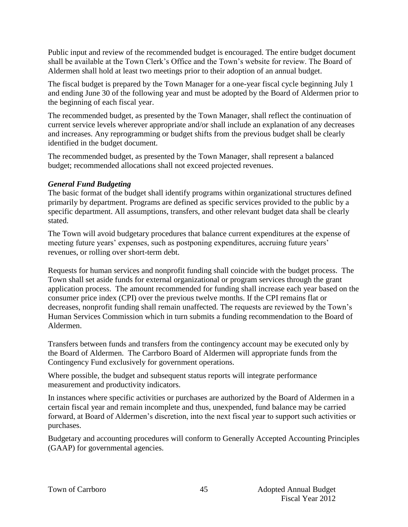Public input and review of the recommended budget is encouraged. The entire budget document shall be available at the Town Clerk's Office and the Town's website for review. The Board of Aldermen shall hold at least two meetings prior to their adoption of an annual budget.

The fiscal budget is prepared by the Town Manager for a one-year fiscal cycle beginning July 1 and ending June 30 of the following year and must be adopted by the Board of Aldermen prior to the beginning of each fiscal year.

The recommended budget, as presented by the Town Manager, shall reflect the continuation of current service levels wherever appropriate and/or shall include an explanation of any decreases and increases. Any reprogramming or budget shifts from the previous budget shall be clearly identified in the budget document.

The recommended budget, as presented by the Town Manager, shall represent a balanced budget; recommended allocations shall not exceed projected revenues.

# *General Fund Budgeting*

The basic format of the budget shall identify programs within organizational structures defined primarily by department. Programs are defined as specific services provided to the public by a specific department. All assumptions, transfers, and other relevant budget data shall be clearly stated.

The Town will avoid budgetary procedures that balance current expenditures at the expense of meeting future years' expenses, such as postponing expenditures, accruing future years' revenues, or rolling over short-term debt.

Requests for human services and nonprofit funding shall coincide with the budget process. The Town shall set aside funds for external organizational or program services through the grant application process. The amount recommended for funding shall increase each year based on the consumer price index (CPI) over the previous twelve months. If the CPI remains flat or decreases, nonprofit funding shall remain unaffected. The requests are reviewed by the Town's Human Services Commission which in turn submits a funding recommendation to the Board of Aldermen.

Transfers between funds and transfers from the contingency account may be executed only by the Board of Aldermen. The Carrboro Board of Aldermen will appropriate funds from the Contingency Fund exclusively for government operations.

Where possible, the budget and subsequent status reports will integrate performance measurement and productivity indicators.

In instances where specific activities or purchases are authorized by the Board of Aldermen in a certain fiscal year and remain incomplete and thus, unexpended, fund balance may be carried forward, at Board of Aldermen's discretion, into the next fiscal year to support such activities or purchases.

Budgetary and accounting procedures will conform to Generally Accepted Accounting Principles (GAAP) for governmental agencies.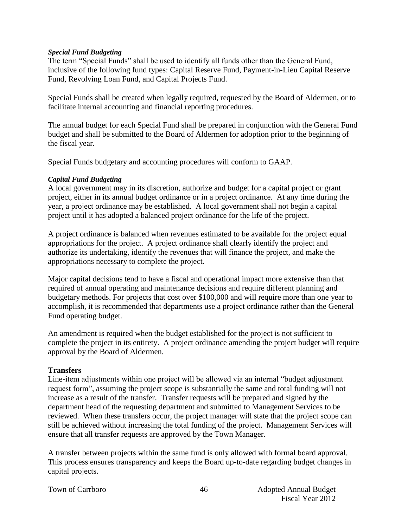#### *Special Fund Budgeting*

The term "Special Funds" shall be used to identify all funds other than the General Fund, inclusive of the following fund types: Capital Reserve Fund, Payment-in-Lieu Capital Reserve Fund, Revolving Loan Fund, and Capital Projects Fund.

Special Funds shall be created when legally required, requested by the Board of Aldermen, or to facilitate internal accounting and financial reporting procedures.

The annual budget for each Special Fund shall be prepared in conjunction with the General Fund budget and shall be submitted to the Board of Aldermen for adoption prior to the beginning of the fiscal year.

Special Funds budgetary and accounting procedures will conform to GAAP.

#### *Capital Fund Budgeting*

A local government may in its discretion, authorize and budget for a capital project or grant project, either in its annual budget ordinance or in a project ordinance. At any time during the year, a project ordinance may be established. A local government shall not begin a capital project until it has adopted a balanced project ordinance for the life of the project.

A project ordinance is balanced when revenues estimated to be available for the project equal appropriations for the project. A project ordinance shall clearly identify the project and authorize its undertaking, identify the revenues that will finance the project, and make the appropriations necessary to complete the project.

Major capital decisions tend to have a fiscal and operational impact more extensive than that required of annual operating and maintenance decisions and require different planning and budgetary methods. For projects that cost over \$100,000 and will require more than one year to accomplish, it is recommended that departments use a project ordinance rather than the General Fund operating budget.

An amendment is required when the budget established for the project is not sufficient to complete the project in its entirety. A project ordinance amending the project budget will require approval by the Board of Aldermen.

## **Transfers**

Line-item adjustments within one project will be allowed via an internal "budget adjustment request form", assuming the project scope is substantially the same and total funding will not increase as a result of the transfer. Transfer requests will be prepared and signed by the department head of the requesting department and submitted to Management Services to be reviewed. When these transfers occur, the project manager will state that the project scope can still be achieved without increasing the total funding of the project. Management Services will ensure that all transfer requests are approved by the Town Manager.

A transfer between projects within the same fund is only allowed with formal board approval. This process ensures transparency and keeps the Board up-to-date regarding budget changes in capital projects.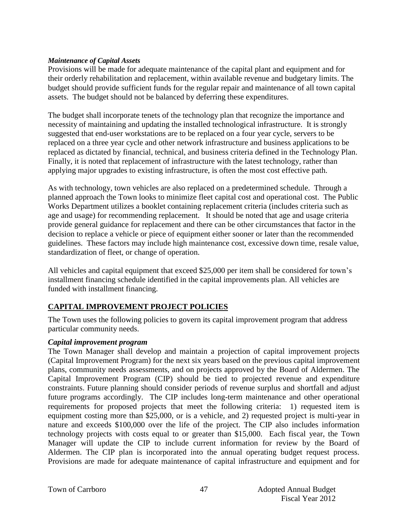#### *Maintenance of Capital Assets*

Provisions will be made for adequate maintenance of the capital plant and equipment and for their orderly rehabilitation and replacement, within available revenue and budgetary limits. The budget should provide sufficient funds for the regular repair and maintenance of all town capital assets. The budget should not be balanced by deferring these expenditures.

The budget shall incorporate tenets of the technology plan that recognize the importance and necessity of maintaining and updating the installed technological infrastructure. It is strongly suggested that end-user workstations are to be replaced on a four year cycle, servers to be replaced on a three year cycle and other network infrastructure and business applications to be replaced as dictated by financial, technical, and business criteria defined in the Technology Plan. Finally, it is noted that replacement of infrastructure with the latest technology, rather than applying major upgrades to existing infrastructure, is often the most cost effective path.

As with technology, town vehicles are also replaced on a predetermined schedule. Through a planned approach the Town looks to minimize fleet capital cost and operational cost. The Public Works Department utilizes a booklet containing replacement criteria (includes criteria such as age and usage) for recommending replacement. It should be noted that age and usage criteria provide general guidance for replacement and there can be other circumstances that factor in the decision to replace a vehicle or piece of equipment either sooner or later than the recommended guidelines. These factors may include high maintenance cost, excessive down time, resale value, standardization of fleet, or change of operation.

All vehicles and capital equipment that exceed \$25,000 per item shall be considered for town's installment financing schedule identified in the capital improvements plan. All vehicles are funded with installment financing.

# **CAPITAL IMPROVEMENT PROJECT POLICIES**

The Town uses the following policies to govern its capital improvement program that address particular community needs.

## *Capital improvement program*

The Town Manager shall develop and maintain a projection of capital improvement projects (Capital Improvement Program) for the next six years based on the previous capital improvement plans, community needs assessments, and on projects approved by the Board of Aldermen. The Capital Improvement Program (CIP) should be tied to projected revenue and expenditure constraints. Future planning should consider periods of revenue surplus and shortfall and adjust future programs accordingly. The CIP includes long-term maintenance and other operational requirements for proposed projects that meet the following criteria: 1) requested item is equipment costing more than \$25,000, or is a vehicle, and 2) requested project is multi-year in nature and exceeds \$100,000 over the life of the project. The CIP also includes information technology projects with costs equal to or greater than \$15,000. Each fiscal year, the Town Manager will update the CIP to include current information for review by the Board of Aldermen. The CIP plan is incorporated into the annual operating budget request process. Provisions are made for adequate maintenance of capital infrastructure and equipment and for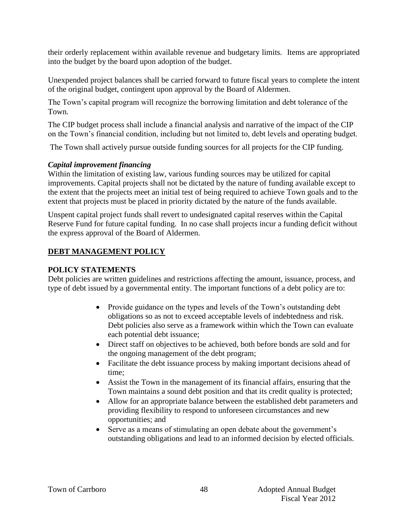their orderly replacement within available revenue and budgetary limits. Items are appropriated into the budget by the board upon adoption of the budget.

Unexpended project balances shall be carried forward to future fiscal years to complete the intent of the original budget, contingent upon approval by the Board of Aldermen.

The Town's capital program will recognize the borrowing limitation and debt tolerance of the Town.

The CIP budget process shall include a financial analysis and narrative of the impact of the CIP on the Town's financial condition, including but not limited to, debt levels and operating budget.

The Town shall actively pursue outside funding sources for all projects for the CIP funding.

# *Capital improvement financing*

Within the limitation of existing law, various funding sources may be utilized for capital improvements. Capital projects shall not be dictated by the nature of funding available except to the extent that the projects meet an initial test of being required to achieve Town goals and to the extent that projects must be placed in priority dictated by the nature of the funds available.

Unspent capital project funds shall revert to undesignated capital reserves within the Capital Reserve Fund for future capital funding. In no case shall projects incur a funding deficit without the express approval of the Board of Aldermen.

# **DEBT MANAGEMENT POLICY**

# **POLICY STATEMENTS**

Debt policies are written guidelines and restrictions affecting the amount, issuance, process, and type of debt issued by a governmental entity. The important functions of a debt policy are to:

- Provide guidance on the types and levels of the Town's outstanding debt obligations so as not to exceed acceptable levels of indebtedness and risk. Debt policies also serve as a framework within which the Town can evaluate each potential debt issuance;
- Direct staff on objectives to be achieved, both before bonds are sold and for the ongoing management of the debt program;
- Facilitate the debt issuance process by making important decisions ahead of time;
- Assist the Town in the management of its financial affairs, ensuring that the Town maintains a sound debt position and that its credit quality is protected;
- Allow for an appropriate balance between the established debt parameters and providing flexibility to respond to unforeseen circumstances and new opportunities; and
- Serve as a means of stimulating an open debate about the government's outstanding obligations and lead to an informed decision by elected officials.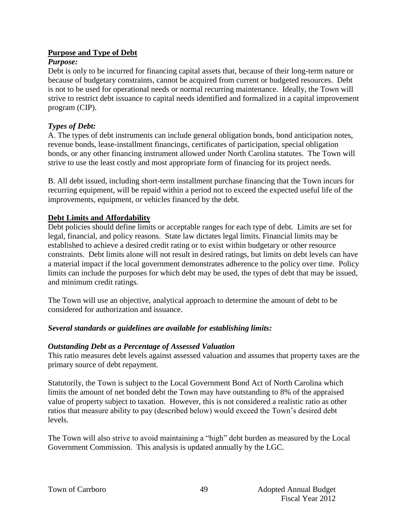## **Purpose and Type of Debt**

#### *Purpose:*

Debt is only to be incurred for financing capital assets that, because of their long-term nature or because of budgetary constraints, cannot be acquired from current or budgeted resources. Debt is not to be used for operational needs or normal recurring maintenance. Ideally, the Town will strive to restrict debt issuance to capital needs identified and formalized in a capital improvement program (CIP).

# *Types of Debt:*

A. The types of debt instruments can include general obligation bonds, bond anticipation notes, revenue bonds, lease-installment financings, certificates of participation, special obligation bonds, or any other financing instrument allowed under North Carolina statutes. The Town will strive to use the least costly and most appropriate form of financing for its project needs.

B. All debt issued, including short-term installment purchase financing that the Town incurs for recurring equipment, will be repaid within a period not to exceed the expected useful life of the improvements, equipment, or vehicles financed by the debt.

## **Debt Limits and Affordability**

Debt policies should define limits or acceptable ranges for each type of debt. Limits are set for legal, financial, and policy reasons. State law dictates legal limits. Financial limits may be established to achieve a desired credit rating or to exist within budgetary or other resource constraints. Debt limits alone will not result in desired ratings, but limits on debt levels can have a material impact if the local government demonstrates adherence to the policy over time. Policy limits can include the purposes for which debt may be used, the types of debt that may be issued, and minimum credit ratings.

The Town will use an objective, analytical approach to determine the amount of debt to be considered for authorization and issuance.

## *Several standards or guidelines are available for establishing limits:*

## *Outstanding Debt as a Percentage of Assessed Valuation*

This ratio measures debt levels against assessed valuation and assumes that property taxes are the primary source of debt repayment.

Statutorily, the Town is subject to the Local Government Bond Act of North Carolina which limits the amount of net bonded debt the Town may have outstanding to 8% of the appraised value of property subject to taxation. However, this is not considered a realistic ratio as other ratios that measure ability to pay (described below) would exceed the Town's desired debt levels.

The Town will also strive to avoid maintaining a "high" debt burden as measured by the Local Government Commission. This analysis is updated annually by the LGC.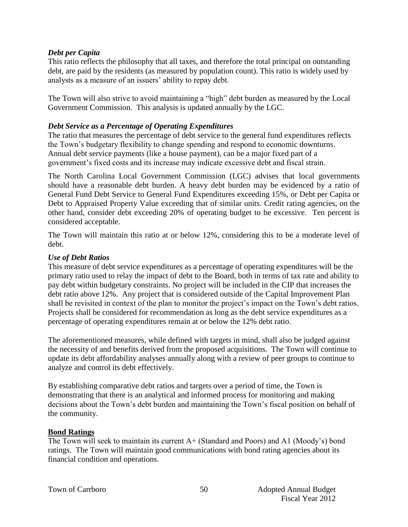#### *Debt per Capita*

This ratio reflects the philosophy that all taxes, and therefore the total principal on outstanding debt, are paid by the residents (as measured by population count). This ratio is widely used by analysts as a measure of an issuers' ability to repay debt.

The Town will also strive to avoid maintaining a "high" debt burden as measured by the Local Government Commission. This analysis is updated annually by the LGC.

#### *Debt Service as a Percentage of Operating Expenditures*

The ratio that measures the percentage of debt service to the general fund expenditures reflects the Town's budgetary flexibility to change spending and respond to economic downturns. Annual debt service payments (like a house payment), can be a major fixed part of a government's fixed costs and its increase may indicate excessive debt and fiscal strain.

The North Carolina Local Government Commission (LGC) advises that local governments should have a reasonable debt burden. A heavy debt burden may be evidenced by a ratio of General Fund Debt Service to General Fund Expenditures exceeding 15%, or Debt per Capita or Debt to Appraised Property Value exceeding that of similar units. Credit rating agencies, on the other hand, consider debt exceeding 20% of operating budget to be excessive. Ten percent is considered acceptable.

The Town will maintain this ratio at or below 12%, considering this to be a moderate level of debt.

#### *Use of Debt Ratios*

This measure of debt service expenditures as a percentage of operating expenditures will be the primary ratio used to relay the impact of debt to the Board, both in terms of tax rate and ability to pay debt within budgetary constraints. No project will be included in the CIP that increases the debt ratio above 12%. Any project that is considered outside of the Capital Improvement Plan shall be revisited in context of the plan to monitor the project's impact on the Town's debt ratios. Projects shall be considered for recommendation as long as the debt service expenditures as a percentage of operating expenditures remain at or below the 12% debt ratio.

The aforementioned measures, while defined with targets in mind, shall also be judged against the necessity of and benefits derived from the proposed acquisitions. The Town will continue to update its debt affordability analyses annually along with a review of peer groups to continue to analyze and control its debt effectively.

By establishing comparative debt ratios and targets over a period of time, the Town is demonstrating that there is an analytical and informed process for monitoring and making decisions about the Town's debt burden and maintaining the Town's fiscal position on behalf of the community.

#### **Bond Ratings**

The Town will seek to maintain its current A+ (Standard and Poors) and A1 (Moody's) bond ratings. The Town will maintain good communications with bond rating agencies about its financial condition and operations.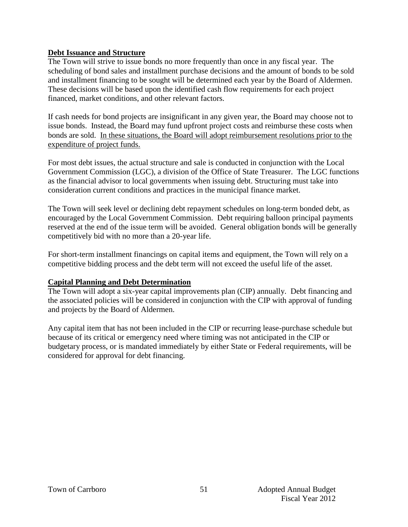#### **Debt Issuance and Structure**

The Town will strive to issue bonds no more frequently than once in any fiscal year. The scheduling of bond sales and installment purchase decisions and the amount of bonds to be sold and installment financing to be sought will be determined each year by the Board of Aldermen. These decisions will be based upon the identified cash flow requirements for each project financed, market conditions, and other relevant factors.

If cash needs for bond projects are insignificant in any given year, the Board may choose not to issue bonds. Instead, the Board may fund upfront project costs and reimburse these costs when bonds are sold. In these situations, the Board will adopt reimbursement resolutions prior to the expenditure of project funds.

For most debt issues, the actual structure and sale is conducted in conjunction with the Local Government Commission (LGC), a division of the Office of State Treasurer. The LGC functions as the financial advisor to local governments when issuing debt. Structuring must take into consideration current conditions and practices in the municipal finance market.

The Town will seek level or declining debt repayment schedules on long-term bonded debt, as encouraged by the Local Government Commission. Debt requiring balloon principal payments reserved at the end of the issue term will be avoided. General obligation bonds will be generally competitively bid with no more than a 20-year life.

For short-term installment financings on capital items and equipment, the Town will rely on a competitive bidding process and the debt term will not exceed the useful life of the asset.

#### **Capital Planning and Debt Determination**

The Town will adopt a six-year capital improvements plan (CIP) annually. Debt financing and the associated policies will be considered in conjunction with the CIP with approval of funding and projects by the Board of Aldermen.

Any capital item that has not been included in the CIP or recurring lease-purchase schedule but because of its critical or emergency need where timing was not anticipated in the CIP or budgetary process, or is mandated immediately by either State or Federal requirements, will be considered for approval for debt financing.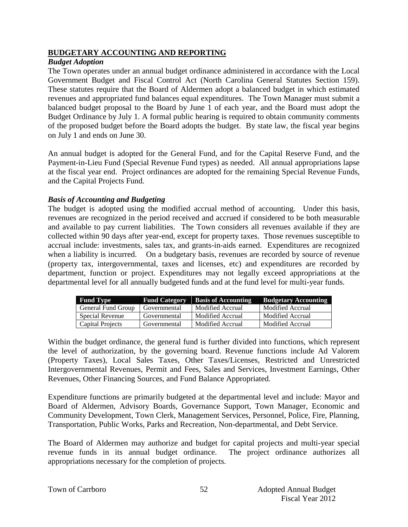#### **BUDGETARY ACCOUNTING AND REPORTING**

#### *Budget Adoption*

The Town operates under an annual budget ordinance administered in accordance with the Local Government Budget and Fiscal Control Act (North Carolina General Statutes Section 159). These statutes require that the Board of Aldermen adopt a balanced budget in which estimated revenues and appropriated fund balances equal expenditures. The Town Manager must submit a balanced budget proposal to the Board by June 1 of each year, and the Board must adopt the Budget Ordinance by July 1. A formal public hearing is required to obtain community comments of the proposed budget before the Board adopts the budget. By state law, the fiscal year begins on July 1 and ends on June 30.

An annual budget is adopted for the General Fund, and for the Capital Reserve Fund, and the Payment-in-Lieu Fund (Special Revenue Fund types) as needed. All annual appropriations lapse at the fiscal year end. Project ordinances are adopted for the remaining Special Revenue Funds, and the Capital Projects Fund.

#### *Basis of Accounting and Budgeting*

The budget is adopted using the modified accrual method of accounting. Under this basis, revenues are recognized in the period received and accrued if considered to be both measurable and available to pay current liabilities. The Town considers all revenues available if they are collected within 90 days after year-end, except for property taxes. Those revenues susceptible to accrual include: investments, sales tax, and grants-in-aids earned. Expenditures are recognized when a liability is incurred. On a budgetary basis, revenues are recorded by source of revenue (property tax, intergovernmental, taxes and licenses, etc) and expenditures are recorded by department, function or project. Expenditures may not legally exceed appropriations at the departmental level for all annually budgeted funds and at the fund level for multi-year funds.

| <b>Fund Type</b>   | <b>Fund Category</b> | <b>Basis of Accounting</b> | <b>Budgetary Accounting</b> |
|--------------------|----------------------|----------------------------|-----------------------------|
| General Fund Group | Governmental         | Modified Accrual           | Modified Accrual            |
| Special Revenue    | Governmental         | Modified Accrual           | Modified Accrual            |
| Capital Projects   | Governmental         | Modified Accrual           | Modified Accrual            |

Within the budget ordinance, the general fund is further divided into functions, which represent the level of authorization, by the governing board. Revenue functions include Ad Valorem (Property Taxes), Local Sales Taxes, Other Taxes/Licenses, Restricted and Unrestricted Intergovernmental Revenues, Permit and Fees, Sales and Services, Investment Earnings, Other Revenues, Other Financing Sources, and Fund Balance Appropriated.

Expenditure functions are primarily budgeted at the departmental level and include: Mayor and Board of Aldermen, Advisory Boards, Governance Support, Town Manager, Economic and Community Development, Town Clerk, Management Services, Personnel, Police, Fire, Planning, Transportation, Public Works, Parks and Recreation, Non-departmental, and Debt Service.

The Board of Aldermen may authorize and budget for capital projects and multi-year special revenue funds in its annual budget ordinance. The project ordinance authorizes all appropriations necessary for the completion of projects.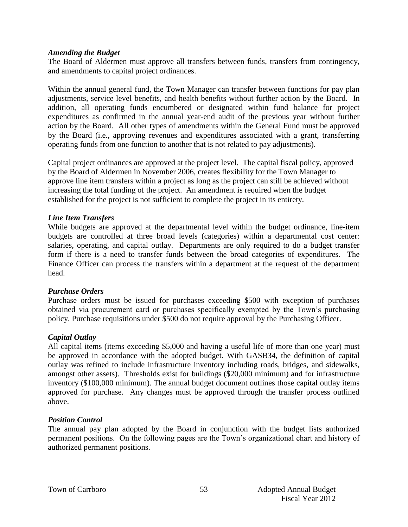#### *Amending the Budget*

The Board of Aldermen must approve all transfers between funds, transfers from contingency, and amendments to capital project ordinances.

Within the annual general fund, the Town Manager can transfer between functions for pay plan adjustments, service level benefits, and health benefits without further action by the Board. In addition, all operating funds encumbered or designated within fund balance for project expenditures as confirmed in the annual year-end audit of the previous year without further action by the Board. All other types of amendments within the General Fund must be approved by the Board (i.e., approving revenues and expenditures associated with a grant, transferring operating funds from one function to another that is not related to pay adjustments).

Capital project ordinances are approved at the project level. The capital fiscal policy, approved by the Board of Aldermen in November 2006, creates flexibility for the Town Manager to approve line item transfers within a project as long as the project can still be achieved without increasing the total funding of the project. An amendment is required when the budget established for the project is not sufficient to complete the project in its entirety.

#### *Line Item Transfers*

While budgets are approved at the departmental level within the budget ordinance, line-item budgets are controlled at three broad levels (categories) within a departmental cost center: salaries, operating, and capital outlay. Departments are only required to do a budget transfer form if there is a need to transfer funds between the broad categories of expenditures. The Finance Officer can process the transfers within a department at the request of the department head.

#### *Purchase Orders*

Purchase orders must be issued for purchases exceeding \$500 with exception of purchases obtained via procurement card or purchases specifically exempted by the Town's purchasing policy. Purchase requisitions under \$500 do not require approval by the Purchasing Officer.

#### *Capital Outlay*

All capital items (items exceeding \$5,000 and having a useful life of more than one year) must be approved in accordance with the adopted budget. With GASB34, the definition of capital outlay was refined to include infrastructure inventory including roads, bridges, and sidewalks, amongst other assets). Thresholds exist for buildings (\$20,000 minimum) and for infrastructure inventory (\$100,000 minimum). The annual budget document outlines those capital outlay items approved for purchase. Any changes must be approved through the transfer process outlined above.

#### *Position Control*

The annual pay plan adopted by the Board in conjunction with the budget lists authorized permanent positions. On the following pages are the Town's organizational chart and history of authorized permanent positions.